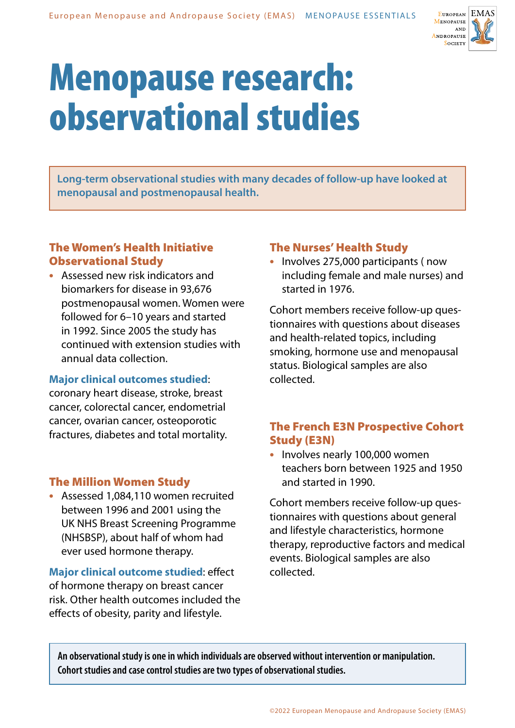

# Menopause research: observational studies

**Long-term observational studies with many decades of follow-up have looked at menopausal and postmenopausal health.** 

## The Women's Health Initiative Observational Study

**•** Assessed new risk indicators and biomarkers for disease in 93,676 postmenopausal women. Women were followed for 6–10 years and started in 1992. Since 2005 the study has continued with extension studies with annual data collection.

### **Major clinical outcomes studied**:

coronary heart disease, stroke, breast cancer, colorectal cancer, endometrial cancer, ovarian cancer, osteoporotic fractures, diabetes and total mortality.

## The Million Women Study

**•** Assessed 1,084,110 women recruited between 1996 and 2001 using the UK NHS Breast Screening Programme (NHSBSP), about half of whom had ever used hormone therapy.

**Major clinical outcome studied**: effect of hormone therapy on breast cancer risk. Other health outcomes included the effects of obesity, parity and lifestyle.

## The Nurses' Health Study

**•** Involves 275,000 participants ( now including female and male nurses) and started in 1976.

Cohort members receive follow-up questionnaires with questions about diseases and health-related topics, including smoking, hormone use and menopausal status. Biological samples are also collected.

## The French E3N Prospective Cohort Study (E3N)

**•** Involves nearly 100,000 women teachers born between 1925 and 1950 and started in 1990.

Cohort members receive follow-up questionnaires with questions about general and lifestyle characteristics, hormone therapy, reproductive factors and medical events. Biological samples are also collected.

**An observational study is one in which individuals are observed without intervention or manipulation. Cohort studies and case control studies are two types of observational studies.**